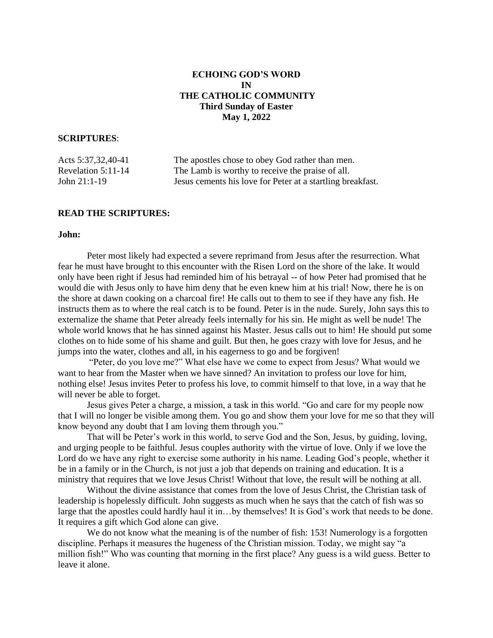# **ECHOING GOD'S WORD IN THE CATHOLIC COMMUNITY Third Sunday of Easter May 1, 2022**

# **SCRIPTURES**:

| Acts 5:37,32,40-41   | The apostles chose to obey God rather than men.            |
|----------------------|------------------------------------------------------------|
| Revelation $5:11-14$ | The Lamb is worthy to receive the praise of all.           |
| John 21:1-19         | Jesus cements his love for Peter at a startling breakfast. |

# **READ THE SCRIPTURES:**

## **John:**

Peter most likely had expected a severe reprimand from Jesus after the resurrection. What fear he must have brought to this encounter with the Risen Lord on the shore of the lake. It would only have been right if Jesus had reminded him of his betrayal -- of how Peter had promised that he would die with Jesus only to have him deny that he even knew him at his trial! Now, there he is on the shore at dawn cooking on a charcoal fire! He calls out to them to see if they have any fish. He instructs them as to where the real catch is to be found. Peter is in the nude. Surely, John says this to externalize the shame that Peter already feels internally for his sin. He might as well be nude! The whole world knows that he has sinned against his Master. Jesus calls out to him! He should put some clothes on to hide some of his shame and guilt. But then, he goes crazy with love for Jesus, and he jumps into the water, clothes and all, in his eagerness to go and be forgiven!

"Peter, do you love me?" What else have we come to expect from Jesus? What would we want to hear from the Master when we have sinned? An invitation to profess our love for him, nothing else! Jesus invites Peter to profess his love, to commit himself to that love, in a way that he will never be able to forget.

Jesus gives Peter a charge, a mission, a task in this world. "Go and care for my people now that I will no longer be visible among them. You go and show them your love for me so that they will know beyond any doubt that I am loving them through you."

That will be Peter's work in this world, to serve God and the Son, Jesus, by guiding, loving, and urging people to be faithful. Jesus couples authority with the virtue of love. Only if we love the Lord do we have any right to exercise some authority in his name. Leading God's people, whether it be in a family or in the Church, is not just a job that depends on training and education. It is a ministry that requires that we love Jesus Christ! Without that love, the result will be nothing at all.

Without the divine assistance that comes from the love of Jesus Christ, the Christian task of leadership is hopelessly difficult. John suggests as much when he says that the catch of fish was so large that the apostles could hardly haul it in…by themselves! It is God's work that needs to be done. It requires a gift which God alone can give.

We do not know what the meaning is of the number of fish: 153! Numerology is a forgotten discipline. Perhaps it measures the hugeness of the Christian mission. Today, we might say "a million fish!" Who was counting that morning in the first place? Any guess is a wild guess. Better to leave it alone.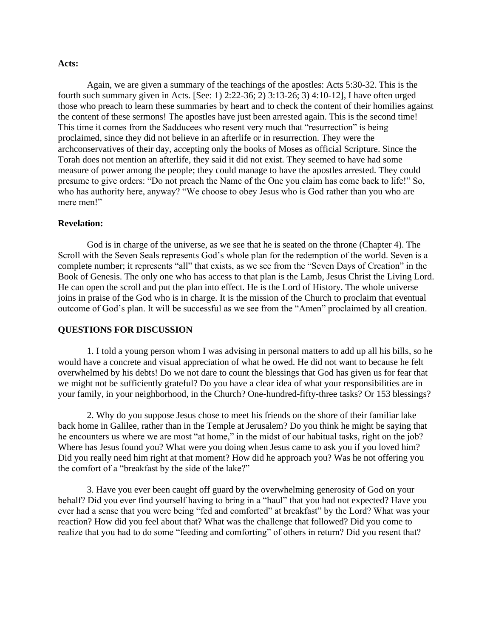#### **Acts:**

Again, we are given a summary of the teachings of the apostles: Acts 5:30-32. This is the fourth such summary given in Acts. [See: 1) 2:22-36; 2) 3:13-26; 3) 4:10-12], I have often urged those who preach to learn these summaries by heart and to check the content of their homilies against the content of these sermons! The apostles have just been arrested again. This is the second time! This time it comes from the Sadducees who resent very much that "resurrection" is being proclaimed, since they did not believe in an afterlife or in resurrection. They were the archconservatives of their day, accepting only the books of Moses as official Scripture. Since the Torah does not mention an afterlife, they said it did not exist. They seemed to have had some measure of power among the people; they could manage to have the apostles arrested. They could presume to give orders: "Do not preach the Name of the One you claim has come back to life!" So, who has authority here, anyway? "We choose to obey Jesus who is God rather than you who are mere men!"

#### **Revelation:**

God is in charge of the universe, as we see that he is seated on the throne (Chapter 4). The Scroll with the Seven Seals represents God's whole plan for the redemption of the world. Seven is a complete number; it represents "all" that exists, as we see from the "Seven Days of Creation" in the Book of Genesis. The only one who has access to that plan is the Lamb, Jesus Christ the Living Lord. He can open the scroll and put the plan into effect. He is the Lord of History. The whole universe joins in praise of the God who is in charge. It is the mission of the Church to proclaim that eventual outcome of God's plan. It will be successful as we see from the "Amen" proclaimed by all creation.

## **QUESTIONS FOR DISCUSSION**

1. I told a young person whom I was advising in personal matters to add up all his bills, so he would have a concrete and visual appreciation of what he owed. He did not want to because he felt overwhelmed by his debts! Do we not dare to count the blessings that God has given us for fear that we might not be sufficiently grateful? Do you have a clear idea of what your responsibilities are in your family, in your neighborhood, in the Church? One-hundred-fifty-three tasks? Or 153 blessings?

2. Why do you suppose Jesus chose to meet his friends on the shore of their familiar lake back home in Galilee, rather than in the Temple at Jerusalem? Do you think he might be saying that he encounters us where we are most "at home," in the midst of our habitual tasks, right on the job? Where has Jesus found you? What were you doing when Jesus came to ask you if you loved him? Did you really need him right at that moment? How did he approach you? Was he not offering you the comfort of a "breakfast by the side of the lake?"

3. Have you ever been caught off guard by the overwhelming generosity of God on your behalf? Did you ever find yourself having to bring in a "haul" that you had not expected? Have you ever had a sense that you were being "fed and comforted" at breakfast" by the Lord? What was your reaction? How did you feel about that? What was the challenge that followed? Did you come to realize that you had to do some "feeding and comforting" of others in return? Did you resent that?